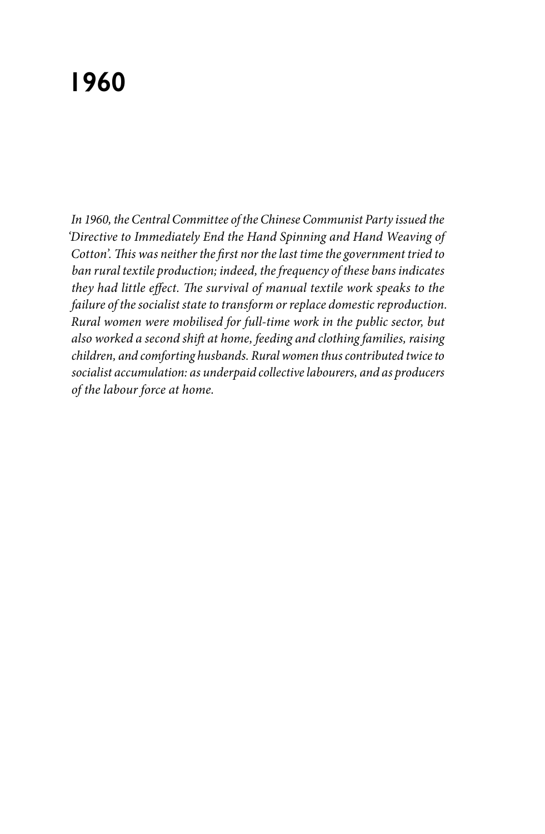# **1960**

*In 1960, the Central Committee of the Chinese Communist Party issued the 'Directive to Immediately End the Hand Spinning and Hand Weaving of Cotton'. This was neither the first nor the last time the government tried to ban rural textile production; indeed, the frequency of these bans indicates they had little effect. The survival of manual textile work speaks to the failure of the socialist state to transform or replace domestic reproduction. Rural women were mobilised for full-time work in the public sector, but also worked a second shift at home, feeding and clothing families, raising children, and comforting husbands. Rural women thus contributed twice to socialist accumulation: as underpaid collective labourers, and as producers of the labour force at home.*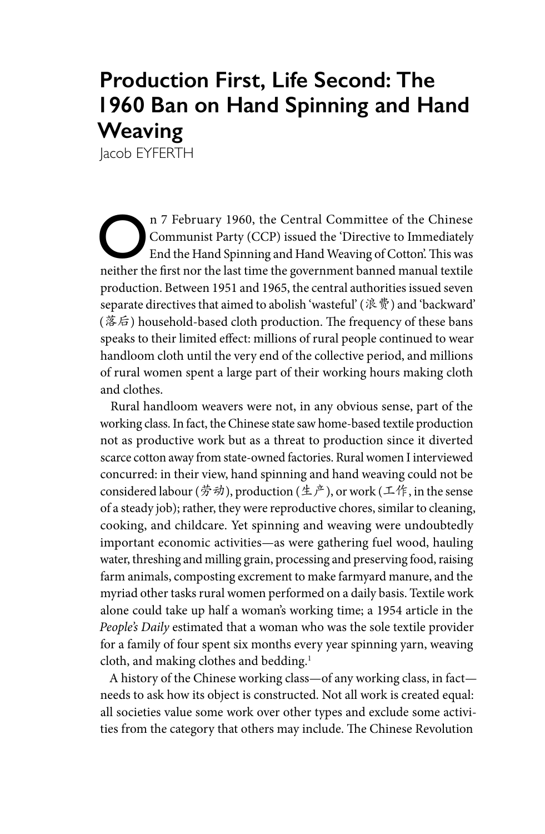# **Production First, Life Second: The 1960 Ban on Hand Spinning and Hand Weaving**

Jacob EYFERTH

On 7 February 1960, the Central Committee of the Chinese<br>
Communist Party (CCP) issued the 'Directive to Immediately<br>
End the Hand Spinning and Hand Weaving of Cotton'. This was<br>
rejther the first nor the lest time the gov Communist Party (CCP) issued the 'Directive to Immediately neither the first nor the last time the government banned manual textile production. Between 1951 and 1965, the central authorities issued seven separate directives that aimed to abolish 'wasteful' (浪费) and 'backward'  $(\&\,$  facts bousehold-based cloth production. The frequency of these bans speaks to their limited effect: millions of rural people continued to wear handloom cloth until the very end of the collective period, and millions of rural women spent a large part of their working hours making cloth and clothes.

Rural handloom weavers were not, in any obvious sense, part of the working class. In fact, the Chinese state saw home-based textile production not as productive work but as a threat to production since it diverted scarce cotton away from state-owned factories. Rural women I interviewed concurred: in their view, hand spinning and hand weaving could not be considered labour (劳动), production (生产), or work (工作, in the sense of a steady job); rather, they were reproductive chores, similar to cleaning, cooking, and childcare. Yet spinning and weaving were undoubtedly important economic activities—as were gathering fuel wood, hauling water, threshing and milling grain, processing and preserving food, raising farm animals, composting excrement to make farmyard manure, and the myriad other tasks rural women performed on a daily basis. Textile work alone could take up half a woman's working time; a 1954 article in the *People's Daily* estimated that a woman who was the sole textile provider for a family of four spent six months every year spinning yarn, weaving cloth, and making clothes and bedding.<sup>1</sup>

A history of the Chinese working class—of any working class, in fact needs to ask how its object is constructed. Not all work is created equal: all societies value some work over other types and exclude some activities from the category that others may include. The Chinese Revolution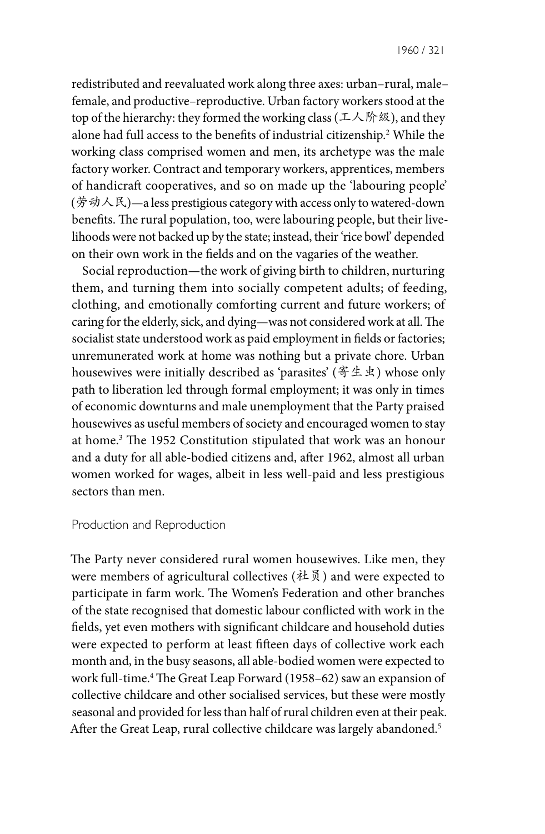redistributed and reevaluated work along three axes: urban–rural, male– female, and productive–reproductive. Urban factory workers stood at the top of the hierarchy: they formed the working class (工人阶级), and they alone had full access to the benefits of industrial citizenship.2 While the working class comprised women and men, its archetype was the male factory worker. Contract and temporary workers, apprentices, members of handicraft cooperatives, and so on made up the 'labouring people'  $(\frac{2}{9})$   $\rightarrow$   $\mathbb{R}$ )  $\rightarrow$  a less prestigious category with access only to watered-down benefits. The rural population, too, were labouring people, but their livelihoods were not backed up by the state; instead, their 'rice bowl' depended on their own work in the fields and on the vagaries of the weather.

Social reproduction—the work of giving birth to children, nurturing them, and turning them into socially competent adults; of feeding, clothing, and emotionally comforting current and future workers; of caring for the elderly, sick, and dying—was not considered work at all. The socialist state understood work as paid employment in fields or factories; unremunerated work at home was nothing but a private chore. Urban housewives were initially described as 'parasites' (寄生虫) whose only path to liberation led through formal employment; it was only in times of economic downturns and male unemployment that the Party praised housewives as useful members of society and encouraged women to stay at home.3 The 1952 Constitution stipulated that work was an honour and a duty for all able-bodied citizens and, after 1962, almost all urban women worked for wages, albeit in less well-paid and less prestigious sectors than men.

#### Production and Reproduction

The Party never considered rural women housewives. Like men, they were members of agricultural collectives (社员) and were expected to participate in farm work. The Women's Federation and other branches of the state recognised that domestic labour conflicted with work in the fields, yet even mothers with significant childcare and household duties were expected to perform at least fifteen days of collective work each month and, in the busy seasons, all able-bodied women were expected to work full-time.4 The Great Leap Forward (1958–62) saw an expansion of collective childcare and other socialised services, but these were mostly seasonal and provided for less than half of rural children even at their peak. After the Great Leap, rural collective childcare was largely abandoned.<sup>5</sup>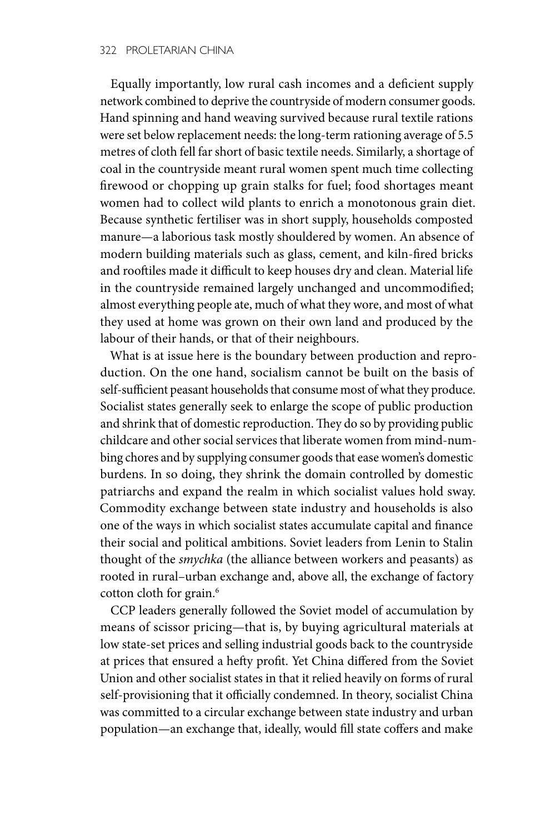Equally importantly, low rural cash incomes and a deficient supply network combined to deprive the countryside of modern consumer goods. Hand spinning and hand weaving survived because rural textile rations were set below replacement needs: the long-term rationing average of 5.5 metres of cloth fell far short of basic textile needs. Similarly, a shortage of coal in the countryside meant rural women spent much time collecting firewood or chopping up grain stalks for fuel; food shortages meant women had to collect wild plants to enrich a monotonous grain diet. Because synthetic fertiliser was in short supply, households composted manure—a laborious task mostly shouldered by women. An absence of modern building materials such as glass, cement, and kiln-fired bricks and rooftiles made it difficult to keep houses dry and clean. Material life in the countryside remained largely unchanged and uncommodified; almost everything people ate, much of what they wore, and most of what they used at home was grown on their own land and produced by the labour of their hands, or that of their neighbours.

What is at issue here is the boundary between production and reproduction. On the one hand, socialism cannot be built on the basis of self-sufficient peasant households that consume most of what they produce. Socialist states generally seek to enlarge the scope of public production and shrink that of domestic reproduction. They do so by providing public childcare and other social services that liberate women from mind-numbing chores and by supplying consumer goods that ease women's domestic burdens. In so doing, they shrink the domain controlled by domestic patriarchs and expand the realm in which socialist values hold sway. Commodity exchange between state industry and households is also one of the ways in which socialist states accumulate capital and finance their social and political ambitions. Soviet leaders from Lenin to Stalin thought of the *smychka* (the alliance between workers and peasants) as rooted in rural–urban exchange and, above all, the exchange of factory cotton cloth for grain.<sup>6</sup>

CCP leaders generally followed the Soviet model of accumulation by means of scissor pricing—that is, by buying agricultural materials at low state-set prices and selling industrial goods back to the countryside at prices that ensured a hefty profit. Yet China differed from the Soviet Union and other socialist states in that it relied heavily on forms of rural self-provisioning that it officially condemned. In theory, socialist China was committed to a circular exchange between state industry and urban population—an exchange that, ideally, would fill state coffers and make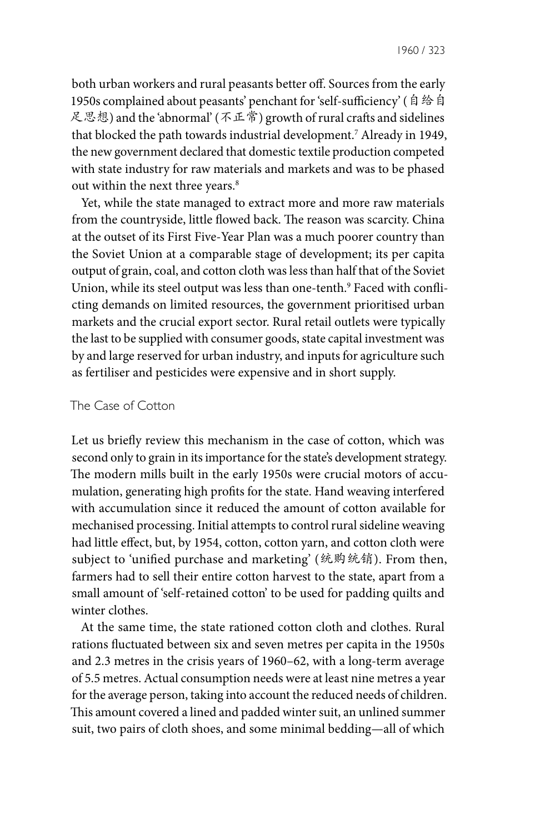1960 / 323

both urban workers and rural peasants better off. Sources from the early 1950s complained about peasants' penchant for 'self-sufficiency' (自 给 自 足思想) and the 'abnormal' (不正常) growth of rural crafts and sidelines that blocked the path towards industrial development.7 Already in 1949, the new government declared that domestic textile production competed with state industry for raw materials and markets and was to be phased out within the next three years.<sup>8</sup>

Yet, while the state managed to extract more and more raw materials from the countryside, little flowed back. The reason was scarcity. China at the outset of its First Five-Year Plan was a much poorer country than the Soviet Union at a comparable stage of development; its per capita output of grain, coal, and cotton cloth was less than half that of the Soviet Union, while its steel output was less than one-tenth.<sup>9</sup> Faced with conflicting demands on limited resources, the government prioritised urban markets and the crucial export sector. Rural retail outlets were typically the last to be supplied with consumer goods, state capital investment was by and large reserved for urban industry, and inputs for agriculture such as fertiliser and pesticides were expensive and in short supply.

## The Case of Cotton

Let us briefly review this mechanism in the case of cotton, which was second only to grain in its importance for the state's development strategy. The modern mills built in the early 1950s were crucial motors of accumulation, generating high profits for the state. Hand weaving interfered with accumulation since it reduced the amount of cotton available for mechanised processing. Initial attempts to control rural sideline weaving had little effect, but, by 1954, cotton, cotton yarn, and cotton cloth were subject to 'unified purchase and marketing' (统购统销). From then, farmers had to sell their entire cotton harvest to the state, apart from a small amount of 'self-retained cotton' to be used for padding quilts and winter clothes.

At the same time, the state rationed cotton cloth and clothes. Rural rations fluctuated between six and seven metres per capita in the 1950s and 2.3 metres in the crisis years of 1960–62, with a long-term average of 5.5 metres. Actual consumption needs were at least nine metres a year for the average person, taking into account the reduced needs of children. This amount covered a lined and padded winter suit, an unlined summer suit, two pairs of cloth shoes, and some minimal bedding—all of which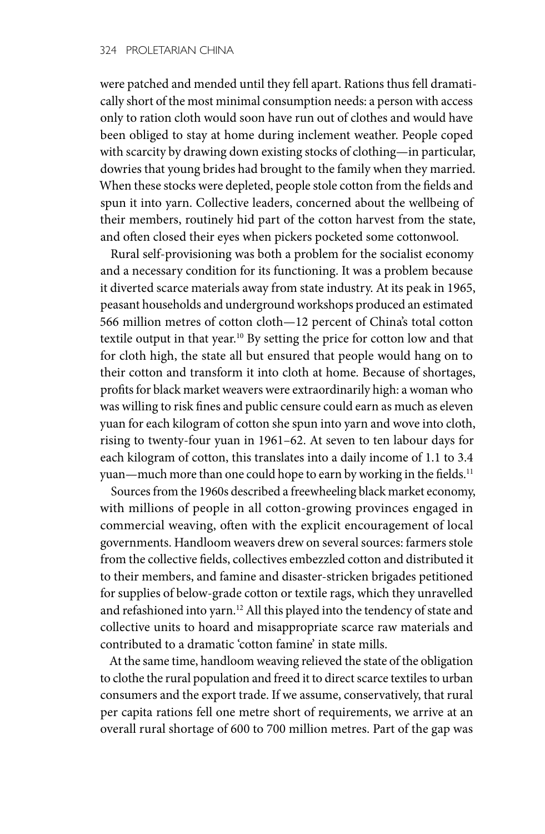were patched and mended until they fell apart. Rations thus fell dramatically short of the most minimal consumption needs: a person with access only to ration cloth would soon have run out of clothes and would have been obliged to stay at home during inclement weather. People coped with scarcity by drawing down existing stocks of clothing—in particular, dowries that young brides had brought to the family when they married. When these stocks were depleted, people stole cotton from the fields and spun it into yarn. Collective leaders, concerned about the wellbeing of their members, routinely hid part of the cotton harvest from the state, and often closed their eyes when pickers pocketed some cottonwool.

Rural self-provisioning was both a problem for the socialist economy and a necessary condition for its functioning. It was a problem because it diverted scarce materials away from state industry. At its peak in 1965, peasant households and underground workshops produced an estimated 566 million metres of cotton cloth—12 percent of China's total cotton textile output in that year.10 By setting the price for cotton low and that for cloth high, the state all but ensured that people would hang on to their cotton and transform it into cloth at home. Because of shortages, profits for black market weavers were extraordinarily high: a woman who was willing to risk fines and public censure could earn as much as eleven yuan for each kilogram of cotton she spun into yarn and wove into cloth, rising to twenty-four yuan in 1961–62. At seven to ten labour days for each kilogram of cotton, this translates into a daily income of 1.1 to 3.4 yuan—much more than one could hope to earn by working in the fields.<sup>11</sup>

Sources from the 1960s described a freewheeling black market economy, with millions of people in all cotton-growing provinces engaged in commercial weaving, often with the explicit encouragement of local governments. Handloom weavers drew on several sources: farmers stole from the collective fields, collectives embezzled cotton and distributed it to their members, and famine and disaster-stricken brigades petitioned for supplies of below-grade cotton or textile rags, which they unravelled and refashioned into yarn.<sup>12</sup> All this played into the tendency of state and collective units to hoard and misappropriate scarce raw materials and contributed to a dramatic 'cotton famine' in state mills.

At the same time, handloom weaving relieved the state of the obligation to clothe the rural population and freed it to direct scarce textiles to urban consumers and the export trade. If we assume, conservatively, that rural per capita rations fell one metre short of requirements, we arrive at an overall rural shortage of 600 to 700 million metres. Part of the gap was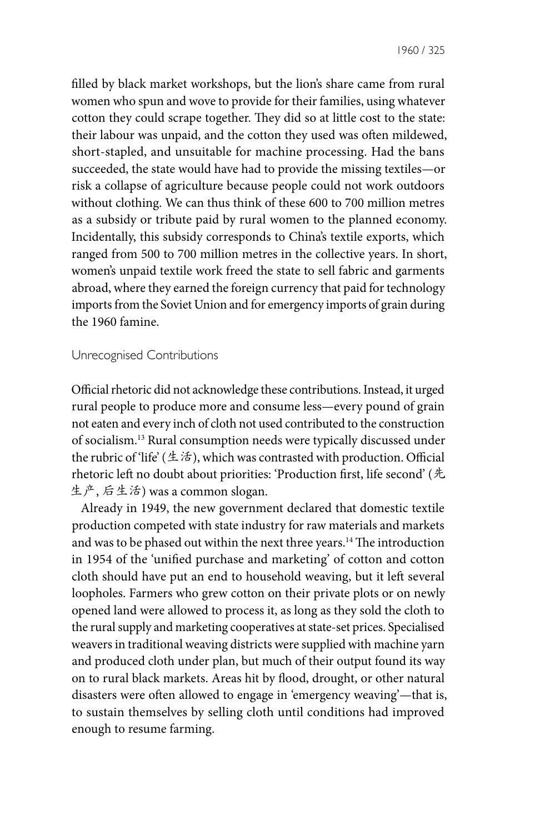1960 / 325

filled by black market workshops, but the lion's share came from rural women who spun and wove to provide for their families, using whatever cotton they could scrape together. They did so at little cost to the state: their labour was unpaid, and the cotton they used was often mildewed, short-stapled, and unsuitable for machine processing. Had the bans succeeded, the state would have had to provide the missing textiles—or risk a collapse of agriculture because people could not work outdoors without clothing. We can thus think of these 600 to 700 million metres as a subsidy or tribute paid by rural women to the planned economy. Incidentally, this subsidy corresponds to China's textile exports, which ranged from 500 to 700 million metres in the collective years. In short, women's unpaid textile work freed the state to sell fabric and garments abroad, where they earned the foreign currency that paid for technology imports from the Soviet Union and for emergency imports of grain during the 1960 famine.

### Unrecognised Contributions

Official rhetoric did not acknowledge these contributions. Instead, it urged rural people to produce more and consume less—every pound of grain not eaten and every inch of cloth not used contributed to the construction of socialism.13 Rural consumption needs were typically discussed under the rubric of 'life' (生活), which was contrasted with production. Official rhetoric left no doubt about priorities: 'Production first, life second' (先 生产, 后生活) was a common slogan.

Already in 1949, the new government declared that domestic textile production competed with state industry for raw materials and markets and was to be phased out within the next three years.<sup>14</sup> The introduction in 1954 of the 'unified purchase and marketing' of cotton and cotton cloth should have put an end to household weaving, but it left several loopholes. Farmers who grew cotton on their private plots or on newly opened land were allowed to process it, as long as they sold the cloth to the rural supply and marketing cooperatives at state-set prices. Specialised weavers in traditional weaving districts were supplied with machine yarn and produced cloth under plan, but much of their output found its way on to rural black markets. Areas hit by flood, drought, or other natural disasters were often allowed to engage in 'emergency weaving'—that is, to sustain themselves by selling cloth until conditions had improved enough to resume farming.